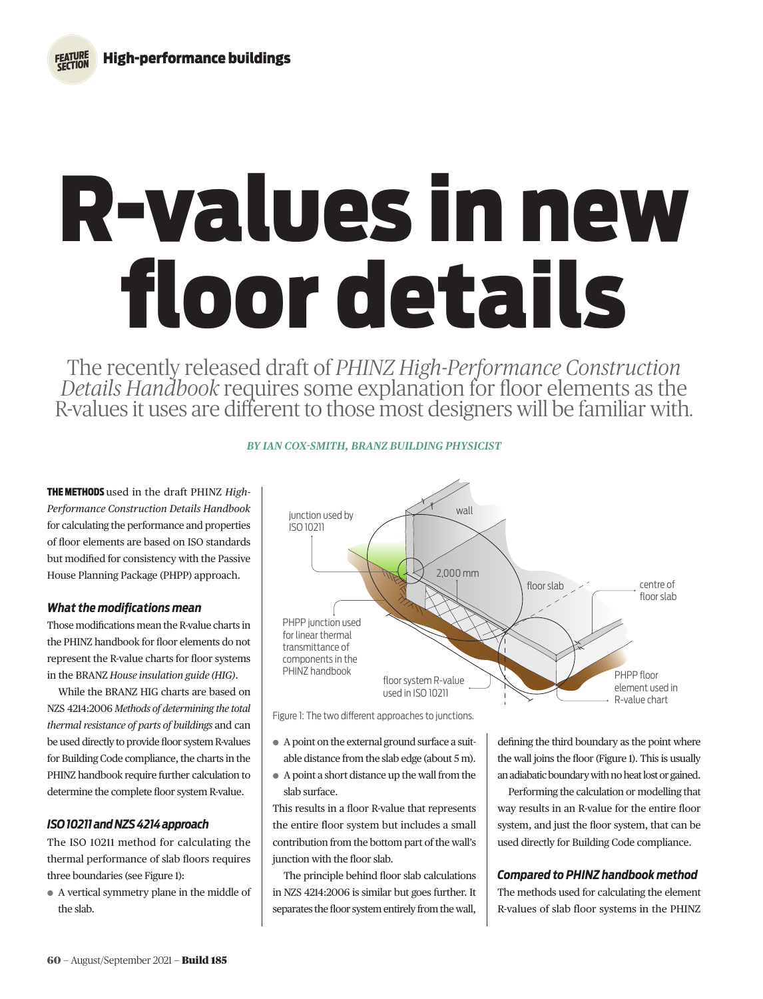*FEATURE SECTION*

# R-values in new floor details

The recently released draft of *PHINZ High-Performance Construction Details Handbook* requires some explanation for floor elements as the R-values it uses are different to those most designers will be familiar with.

THE METHODS used in the draft PHINZ *High-Performance Construction Details Handbook* for calculating the performance and properties of floor elements are based on ISO standards but modified for consistency with the Passive House Planning Package (PHPP) approach.

#### *What the modifications mean*

Those modifications mean the R-value charts in the PHINZ handbook for floor elements do not represent the R-value charts for floor systems in the BRANZ *House insulation guide (HIG)*.

While the BRANZ HIG charts are based on NZS 4214:2006 *Methods of determining the total thermal resistance of parts of buildings* and can be used directly to provide floor system R-values for Building Code compliance, the charts in the PHINZ handbook require further calculation to determine the complete floor system R-value.

# *ISO 10211 and NZS 4214 approach*

The ISO 10211 method for calculating the thermal performance of slab floors requires three boundaries (see Figure 1):

¬ A vertical symmetry plane in the middle of the slab.

## *BY IAN COX-SMITH, BRANZ BUILDING PHYSICIST*



Figure 1: The two different approaches to junctions.

- ¬ A point on the external ground surface a suitable distance from the slab edge (about 5 m).
- ¬ A point a short distance up the wall from the slab surface.

This results in a floor R-value that represents the entire floor system but includes a small contribution from the bottom part of the wall's junction with the floor slab.

The principle behind floor slab calculations in NZS 4214:2006 is similar but goes further. It separates the floor system entirely from the wall,

defining the third boundary as the point where the wall joins the floor (Figure 1). This is usually an adiabatic boundary with no heat lost or gained.

Performing the calculation or modelling that way results in an R-value for the entire floor system, and just the floor system, that can be used directly for Building Code compliance.

#### *Compared to PHINZ handbook method*

The methods used for calculating the element R-values of slab floor systems in the PHINZ